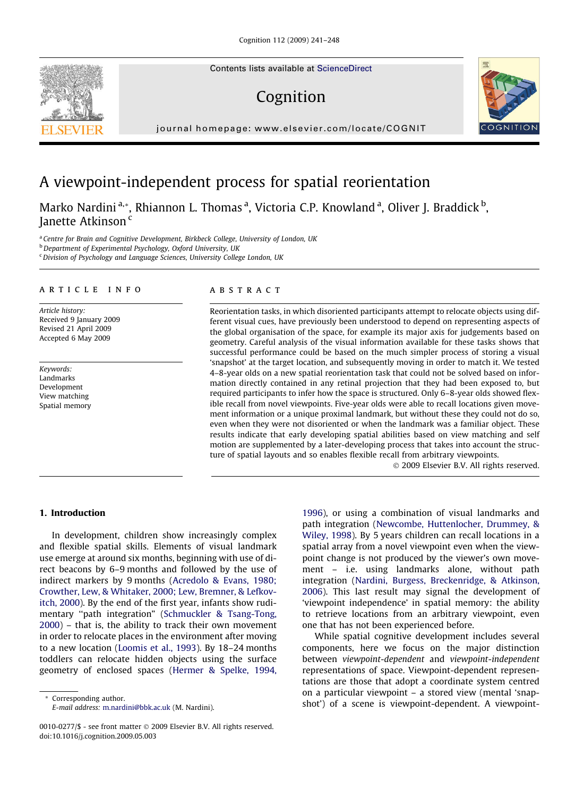Contents lists available at [ScienceDirect](http://www.sciencedirect.com/science/journal/00100277)

# Cognition



journal homepage: [www.elsevier.com/locate/COGNIT](http://www.elsevier.com/locate/COGNIT)

# A viewpoint-independent process for spatial reorientation

Marko Nardini <sup>a,</sup>\*, Rhiannon L. Thomas <sup>a</sup>, Victoria C.P. Knowland <sup>a</sup>, Oliver J. Braddick <sup>b</sup>, Janette Atkinson <sup>c</sup>

<sup>a</sup> Centre for Brain and Cognitive Development, Birkbeck College, University of London, UK

**b** Department of Experimental Psychology, Oxford University, UK

<sup>c</sup>Division of Psychology and Language Sciences, University College London, UK

## article info

Article history: Received 9 January 2009 Revised 21 April 2009 Accepted 6 May 2009

Keywords: Landmarks Development View matching Spatial memory

### **ABSTRACT**

Reorientation tasks, in which disoriented participants attempt to relocate objects using different visual cues, have previously been understood to depend on representing aspects of the global organisation of the space, for example its major axis for judgements based on geometry. Careful analysis of the visual information available for these tasks shows that successful performance could be based on the much simpler process of storing a visual 'snapshot' at the target location, and subsequently moving in order to match it. We tested 4–8-year olds on a new spatial reorientation task that could not be solved based on information directly contained in any retinal projection that they had been exposed to, but required participants to infer how the space is structured. Only 6–8-year olds showed flexible recall from novel viewpoints. Five-year olds were able to recall locations given movement information or a unique proximal landmark, but without these they could not do so, even when they were not disoriented or when the landmark was a familiar object. These results indicate that early developing spatial abilities based on view matching and self motion are supplemented by a later-developing process that takes into account the structure of spatial layouts and so enables flexible recall from arbitrary viewpoints.

- 2009 Elsevier B.V. All rights reserved.

# 1. Introduction

In development, children show increasingly complex and flexible spatial skills. Elements of visual landmark use emerge at around six months, beginning with use of direct beacons by 6–9 months and followed by the use of indirect markers by 9 months [\(Acredolo & Evans, 1980;](#page-7-0) [Crowther, Lew, & Whitaker, 2000; Lew, Bremner, & Lefkov](#page-7-0)[itch, 2000](#page-7-0)). By the end of the first year, infants show rudimentary ''path integration" ([Schmuckler & Tsang-Tong,](#page-7-0) [2000\)](#page-7-0) – that is, the ability to track their own movement in order to relocate places in the environment after moving to a new location [\(Loomis et al., 1993](#page-7-0)). By 18–24 months toddlers can relocate hidden objects using the surface geometry of enclosed spaces ([Hermer & Spelke, 1994,](#page-7-0)

\* Corresponding author. E-mail address: [m.nardini@bbk.ac.uk](mailto:m.nardini@bbk.ac.uk) (M. Nardini).

[1996\)](#page-7-0), or using a combination of visual landmarks and path integration ([Newcombe, Huttenlocher, Drummey, &](#page-7-0) [Wiley, 1998\)](#page-7-0). By 5 years children can recall locations in a spatial array from a novel viewpoint even when the viewpoint change is not produced by the viewer's own movement – i.e. using landmarks alone, without path integration [\(Nardini, Burgess, Breckenridge, & Atkinson,](#page-7-0) [2006\)](#page-7-0). This last result may signal the development of 'viewpoint independence' in spatial memory: the ability to retrieve locations from an arbitrary viewpoint, even one that has not been experienced before.

While spatial cognitive development includes several components, here we focus on the major distinction between viewpoint-dependent and viewpoint-independent representations of space. Viewpoint-dependent representations are those that adopt a coordinate system centred on a particular viewpoint – a stored view (mental 'snapshot') of a scene is viewpoint-dependent. A viewpoint-



<sup>0010-0277/\$ -</sup> see front matter © 2009 Elsevier B.V. All rights reserved. doi:10.1016/j.cognition.2009.05.003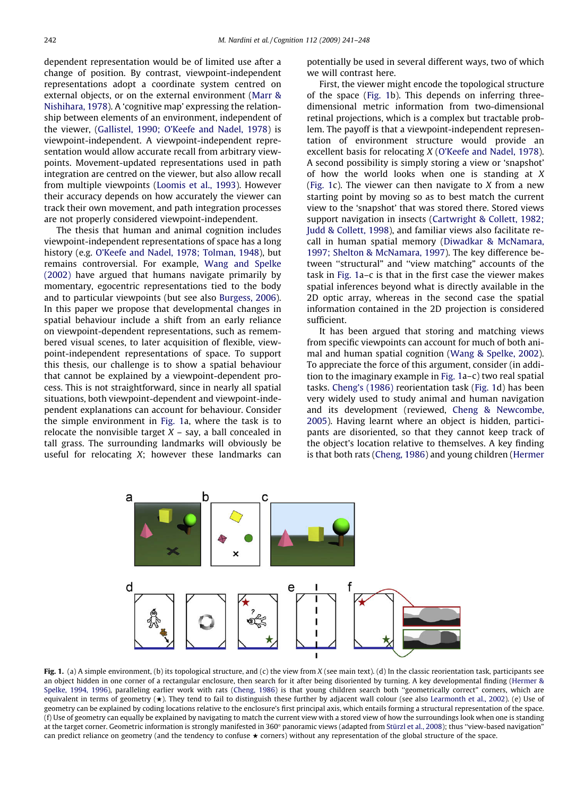<span id="page-1-0"></span>dependent representation would be of limited use after a change of position. By contrast, viewpoint-independent representations adopt a coordinate system centred on external objects, or on the external environment ([Marr &](#page-7-0) [Nishihara, 1978](#page-7-0)). A 'cognitive map' expressing the relationship between elements of an environment, independent of the viewer, [\(Gallistel, 1990; O'Keefe and Nadel, 1978\)](#page-7-0) is viewpoint-independent. A viewpoint-independent representation would allow accurate recall from arbitrary viewpoints. Movement-updated representations used in path integration are centred on the viewer, but also allow recall from multiple viewpoints [\(Loomis et al., 1993](#page-7-0)). However their accuracy depends on how accurately the viewer can track their own movement, and path integration processes are not properly considered viewpoint-independent.

The thesis that human and animal cognition includes viewpoint-independent representations of space has a long history (e.g. [O'Keefe and Nadel, 1978; Tolman, 1948\)](#page-7-0), but remains controversial. For example, [Wang and Spelke](#page-7-0) [\(2002\)](#page-7-0) have argued that humans navigate primarily by momentary, egocentric representations tied to the body and to particular viewpoints (but see also [Burgess, 2006](#page-7-0)). In this paper we propose that developmental changes in spatial behaviour include a shift from an early reliance on viewpoint-dependent representations, such as remembered visual scenes, to later acquisition of flexible, viewpoint-independent representations of space. To support this thesis, our challenge is to show a spatial behaviour that cannot be explained by a viewpoint-dependent process. This is not straightforward, since in nearly all spatial situations, both viewpoint-dependent and viewpoint-independent explanations can account for behaviour. Consider the simple environment in Fig. 1a, where the task is to relocate the nonvisible target  $X$  – say, a ball concealed in tall grass. The surrounding landmarks will obviously be useful for relocating X; however these landmarks can potentially be used in several different ways, two of which we will contrast here.

First, the viewer might encode the topological structure of the space (Fig. 1b). This depends on inferring threedimensional metric information from two-dimensional retinal projections, which is a complex but tractable problem. The payoff is that a viewpoint-independent representation of environment structure would provide an excellent basis for relocating X ([O'Keefe and Nadel, 1978](#page-7-0)). A second possibility is simply storing a view or 'snapshot' of how the world looks when one is standing at  $X$ (Fig. 1c). The viewer can then navigate to  $X$  from a new starting point by moving so as to best match the current view to the 'snapshot' that was stored there. Stored views support navigation in insects [\(Cartwright & Collett, 1982;](#page-7-0) [Judd & Collett, 1998\)](#page-7-0), and familiar views also facilitate recall in human spatial memory ([Diwadkar & McNamara,](#page-7-0) [1997; Shelton & McNamara, 1997\)](#page-7-0). The key difference between ''structural" and ''view matching" accounts of the task in Fig. 1a–c is that in the first case the viewer makes spatial inferences beyond what is directly available in the 2D optic array, whereas in the second case the spatial information contained in the 2D projection is considered sufficient.

It has been argued that storing and matching views from specific viewpoints can account for much of both animal and human spatial cognition [\(Wang & Spelke, 2002](#page-7-0)). To appreciate the force of this argument, consider (in addition to the imaginary example in Fig. 1a–c) two real spatial tasks. [Cheng's \(1986\)](#page-7-0) reorientation task (Fig. 1d) has been very widely used to study animal and human navigation and its development (reviewed, [Cheng & Newcombe,](#page-7-0) [2005](#page-7-0)). Having learnt where an object is hidden, participants are disoriented, so that they cannot keep track of the object's location relative to themselves. A key finding is that both rats [\(Cheng, 1986](#page-7-0)) and young children ([Hermer](#page-7-0)



Fig. 1. (a) A simple environment, (b) its topological structure, and (c) the view from X (see main text). (d) In the classic reorientation task, participants see an object hidden in one corner of a rectangular enclosure, then search for it after being disoriented by turning. A key developmental finding [\(Hermer &](#page-7-0) [Spelke, 1994, 1996\)](#page-7-0), paralleling earlier work with rats ([Cheng, 1986\)](#page-7-0) is that young children search both "geometrically correct" corners, which are equivalent in terms of geometry  $(\star)$ . They tend to fail to distinguish these further by adjacent wall colour (see also [Learmonth et al., 2002](#page-7-0)). (e) Use of geometry can be explained by coding locations relative to the enclosure's first principal axis, which entails forming a structural representation of the space. (f) Use of geometry can equally be explained by navigating to match the current view with a stored view of how the surroundings look when one is standing at the target corner. Geometric information is strongly manifested in 360° panoramic views (adapted from [Stürzl et al., 2008](#page-7-0)); thus "view-based navigation" can predict reliance on geometry (and the tendency to confuse  $\star$  corners) without any representation of the global structure of the space.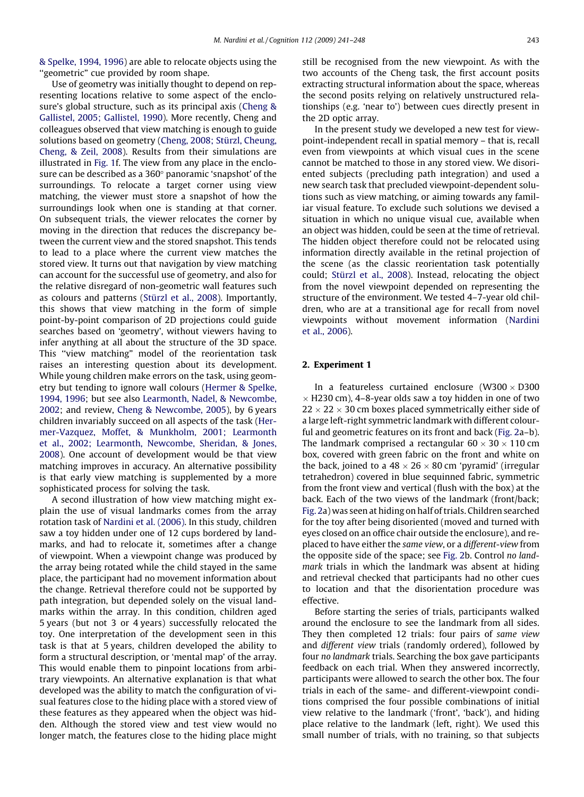[& Spelke, 1994, 1996](#page-7-0)) are able to relocate objects using the ''geometric" cue provided by room shape.

Use of geometry was initially thought to depend on representing locations relative to some aspect of the enclosure's global structure, such as its principal axis [\(Cheng &](#page-7-0) [Gallistel, 2005; Gallistel, 1990\)](#page-7-0). More recently, Cheng and colleagues observed that view matching is enough to guide solutions based on geometry [\(Cheng, 2008; Stürzl, Cheung,](#page-7-0) [Cheng, & Zeil, 2008](#page-7-0)). Results from their simulations are illustrated in [Fig. 1f](#page-1-0). The view from any place in the enclosure can be described as a 360° panoramic 'snapshot' of the surroundings. To relocate a target corner using view matching, the viewer must store a snapshot of how the surroundings look when one is standing at that corner. On subsequent trials, the viewer relocates the corner by moving in the direction that reduces the discrepancy between the current view and the stored snapshot. This tends to lead to a place where the current view matches the stored view. It turns out that navigation by view matching can account for the successful use of geometry, and also for the relative disregard of non-geometric wall features such as colours and patterns ([Stürzl et al., 2008\)](#page-7-0). Importantly, this shows that view matching in the form of simple point-by-point comparison of 2D projections could guide searches based on 'geometry', without viewers having to infer anything at all about the structure of the 3D space. This ''view matching" model of the reorientation task raises an interesting question about its development. While young children make errors on the task, using geometry but tending to ignore wall colours [\(Hermer & Spelke,](#page-7-0) [1994, 1996;](#page-7-0) but see also [Learmonth, Nadel, & Newcombe,](#page-7-0) [2002;](#page-7-0) and review, [Cheng & Newcombe, 2005](#page-7-0)), by 6 years children invariably succeed on all aspects of the task ([Her](#page-7-0)[mer-Vazquez, Moffet, & Munkholm, 2001; Learmonth](#page-7-0) [et al., 2002; Learmonth, Newcombe, Sheridan, & Jones,](#page-7-0) [2008\)](#page-7-0). One account of development would be that view matching improves in accuracy. An alternative possibility is that early view matching is supplemented by a more sophisticated process for solving the task.

A second illustration of how view matching might explain the use of visual landmarks comes from the array rotation task of [Nardini et al. \(2006\).](#page-7-0) In this study, children saw a toy hidden under one of 12 cups bordered by landmarks, and had to relocate it, sometimes after a change of viewpoint. When a viewpoint change was produced by the array being rotated while the child stayed in the same place, the participant had no movement information about the change. Retrieval therefore could not be supported by path integration, but depended solely on the visual landmarks within the array. In this condition, children aged 5 years (but not 3 or 4 years) successfully relocated the toy. One interpretation of the development seen in this task is that at 5 years, children developed the ability to form a structural description, or 'mental map' of the array. This would enable them to pinpoint locations from arbitrary viewpoints. An alternative explanation is that what developed was the ability to match the configuration of visual features close to the hiding place with a stored view of these features as they appeared when the object was hidden. Although the stored view and test view would no longer match, the features close to the hiding place might still be recognised from the new viewpoint. As with the two accounts of the Cheng task, the first account posits extracting structural information about the space, whereas the second posits relying on relatively unstructured relationships (e.g. 'near to') between cues directly present in the 2D optic array.

In the present study we developed a new test for viewpoint-independent recall in spatial memory – that is, recall even from viewpoints at which visual cues in the scene cannot be matched to those in any stored view. We disoriented subjects (precluding path integration) and used a new search task that precluded viewpoint-dependent solutions such as view matching, or aiming towards any familiar visual feature. To exclude such solutions we devised a situation in which no unique visual cue, available when an object was hidden, could be seen at the time of retrieval. The hidden object therefore could not be relocated using information directly available in the retinal projection of the scene (as the classic reorientation task potentially could; [Stürzl et al., 2008](#page-7-0)). Instead, relocating the object from the novel viewpoint depended on representing the structure of the environment. We tested 4–7-year old children, who are at a transitional age for recall from novel viewpoints without movement information ([Nardini](#page-7-0) [et al., 2006\)](#page-7-0).

#### 2. Experiment 1

In a featureless curtained enclosure (W300  $\times$  D300  $\times$  H230 cm), 4–8-year olds saw a toy hidden in one of two 22  $\times$  22  $\times$  30 cm boxes placed symmetrically either side of a large left-right symmetric landmark with different colourful and geometric features on its front and back ([Fig. 2](#page-3-0)a–b). The landmark comprised a rectangular 60  $\times$  30  $\times$  110 cm box, covered with green fabric on the front and white on the back, joined to a 48  $\times$  26  $\times$  80 cm 'pyramid' (irregular tetrahedron) covered in blue sequinned fabric, symmetric from the front view and vertical (flush with the box) at the back. Each of the two views of the landmark (front/back; [Fig. 2](#page-3-0)a) was seen at hiding on half of trials. Children searched for the toy after being disoriented (moved and turned with eyes closed on an office chair outside the enclosure), and replaced to have either the same view, or a different-view from the opposite side of the space; see [Fig. 2](#page-3-0)b. Control no landmark trials in which the landmark was absent at hiding and retrieval checked that participants had no other cues to location and that the disorientation procedure was effective.

Before starting the series of trials, participants walked around the enclosure to see the landmark from all sides. They then completed 12 trials: four pairs of same view and different view trials (randomly ordered), followed by four no landmark trials. Searching the box gave participants feedback on each trial. When they answered incorrectly, participants were allowed to search the other box. The four trials in each of the same- and different-viewpoint conditions comprised the four possible combinations of initial view relative to the landmark ('front', 'back'), and hiding place relative to the landmark (left, right). We used this small number of trials, with no training, so that subjects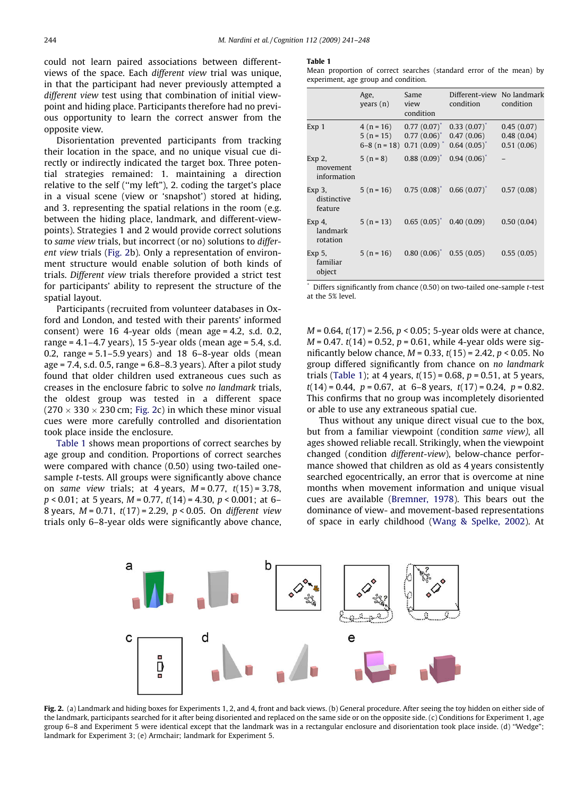<span id="page-3-0"></span>could not learn paired associations between differentviews of the space. Each different view trial was unique, in that the participant had never previously attempted a different view test using that combination of initial viewpoint and hiding place. Participants therefore had no previous opportunity to learn the correct answer from the opposite view.

Disorientation prevented participants from tracking their location in the space, and no unique visual cue directly or indirectly indicated the target box. Three potential strategies remained: 1. maintaining a direction relative to the self (''my left"), 2. coding the target's place in a visual scene (view or 'snapshot') stored at hiding, and 3. representing the spatial relations in the room (e.g. between the hiding place, landmark, and different-viewpoints). Strategies 1 and 2 would provide correct solutions to same view trials, but incorrect (or no) solutions to different view trials (Fig. 2b). Only a representation of environment structure would enable solution of both kinds of trials. Different view trials therefore provided a strict test for participants' ability to represent the structure of the spatial layout.

Participants (recruited from volunteer databases in Oxford and London, and tested with their parents' informed consent) were  $16$  4-year olds (mean age = 4.2, s.d. 0.2, range =  $4.1 - 4.7$  years), 15 5-year olds (mean age =  $5.4$ , s.d. 0.2, range =  $5.1 - 5.9$  years) and 18  $6 - 8$ -year olds (mean age = 7.4, s.d.  $0.5$ , range =  $6.8-8.3$  years). After a pilot study found that older children used extraneous cues such as creases in the enclosure fabric to solve no landmark trials, the oldest group was tested in a different space  $(270 \times 330 \times 230$  cm; Fig. 2c) in which these minor visual cues were more carefully controlled and disorientation took place inside the enclosure.

Table 1 shows mean proportions of correct searches by age group and condition. Proportions of correct searches were compared with chance (0.50) using two-tailed onesample t-tests. All groups were significantly above chance on same view trials; at 4 years,  $M = 0.77$ ,  $t(15) = 3.78$ ,  $p < 0.01$ ; at 5 years,  $M = 0.77$ ,  $t(14) = 4.30$ ,  $p < 0.001$ ; at 6– 8 years,  $M = 0.71$ ,  $t(17) = 2.29$ ,  $p < 0.05$ . On different view trials only 6–8-year olds were significantly above chance,

#### Table 1

Mean proportion of correct searches (standard error of the mean) by experiment, age group and condition.

|                                   | Age,<br>years $(n)$      | Same<br>view<br>condition                           | Different-view No landmark<br>condition                              | condition                              |
|-----------------------------------|--------------------------|-----------------------------------------------------|----------------------------------------------------------------------|----------------------------------------|
| Exp 1                             | $4(n=16)$<br>$5(n = 15)$ | 0.77(0.06)<br>6–8 (n = 18) 0.71 (0.09) <sup>*</sup> | $0.77(0.07)^{*}$ 0.33 $(0.07)^{*}$<br>0.47(0.06)<br>$0.64(0.05)^{*}$ | 0.45(0.07)<br>0.48(0.04)<br>0.51(0.06) |
| Exp 2,<br>movement<br>information | $5(n=8)$                 | $0.88(0.09)^{*}$                                    | 0.94(0.06)                                                           |                                        |
| $Exp_3$<br>distinctive<br>feature | $5(n=16)$                |                                                     | $0.75(0.08)^{\circ}$ 0.66 $(0.07)^{\circ}$                           | 0.57(0.08)                             |
| Exp 4,<br>landmark<br>rotation    | $5(n=13)$                | $0.65(0.05)^{*}$ 0.40 (0.09)                        |                                                                      | 0.50(0.04)                             |
| Exp 5,<br>familiar<br>object      | $5(n=16)$                | $0.80(0.06)$ $0.55(0.05)$                           |                                                                      | 0.55(0.05)                             |

\* Differs significantly from chance (0.50) on two-tailed one-sample t-test at the 5% level.

 $M = 0.64$ ,  $t(17) = 2.56$ ,  $p < 0.05$ ; 5-year olds were at chance,  $M = 0.47$ .  $t(14) = 0.52$ ,  $p = 0.61$ , while 4-year olds were significantly below chance,  $M = 0.33$ ,  $t(15) = 2.42$ ,  $p < 0.05$ . No group differed significantly from chance on no landmark trials (Table 1); at 4 years,  $t(15) = 0.68$ ,  $p = 0.51$ , at 5 years,  $t(14) = 0.44$ ,  $p = 0.67$ , at 6-8 years,  $t(17) = 0.24$ ,  $p = 0.82$ . This confirms that no group was incompletely disoriented or able to use any extraneous spatial cue.

Thus without any unique direct visual cue to the box, but from a familiar viewpoint (condition same view), all ages showed reliable recall. Strikingly, when the viewpoint changed (condition different-view), below-chance performance showed that children as old as 4 years consistently searched egocentrically, an error that is overcome at nine months when movement information and unique visual cues are available [\(Bremner, 1978](#page-7-0)). This bears out the dominance of view- and movement-based representations of space in early childhood [\(Wang & Spelke, 2002\)](#page-7-0). At



Fig. 2. (a) Landmark and hiding boxes for Experiments 1, 2, and 4, front and back views. (b) General procedure. After seeing the toy hidden on either side of the landmark, participants searched for it after being disoriented and replaced on the same side or on the opposite side. (c) Conditions for Experiment 1, age group 6–8 and Experiment 5 were identical except that the landmark was in a rectangular enclosure and disorientation took place inside. (d) ''Wedge"; landmark for Experiment 3; (e) Armchair; landmark for Experiment 5.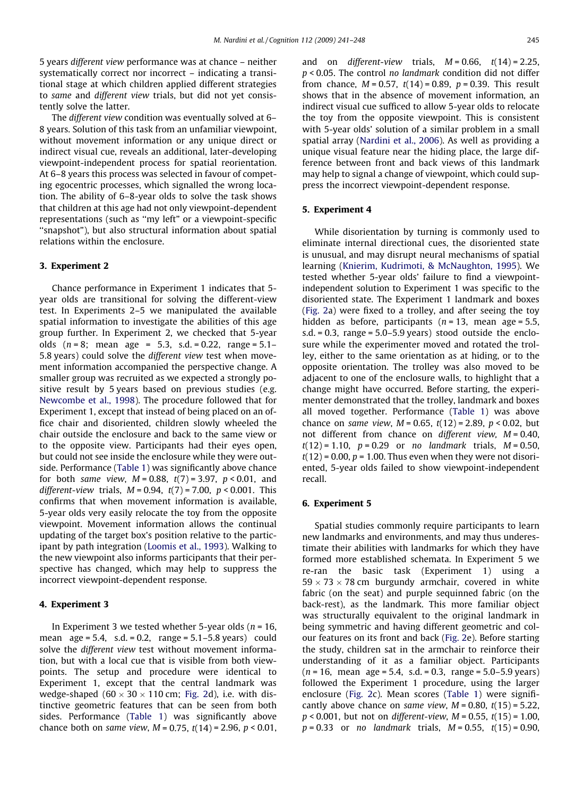5 years different view performance was at chance – neither systematically correct nor incorrect – indicating a transitional stage at which children applied different strategies to same and different view trials, but did not yet consistently solve the latter.

The different view condition was eventually solved at 6– 8 years. Solution of this task from an unfamiliar viewpoint, without movement information or any unique direct or indirect visual cue, reveals an additional, later-developing viewpoint-independent process for spatial reorientation. At 6–8 years this process was selected in favour of competing egocentric processes, which signalled the wrong location. The ability of 6–8-year olds to solve the task shows that children at this age had not only viewpoint-dependent representations (such as ''my left" or a viewpoint-specific ''snapshot"), but also structural information about spatial relations within the enclosure.

## 3. Experiment 2

Chance performance in Experiment 1 indicates that 5 year olds are transitional for solving the different-view test. In Experiments 2–5 we manipulated the available spatial information to investigate the abilities of this age group further. In Experiment 2, we checked that 5-year olds  $(n = 8;$  mean age = 5.3, s.d. = 0.22, range = 5.1– 5.8 years) could solve the different view test when movement information accompanied the perspective change. A smaller group was recruited as we expected a strongly positive result by 5 years based on previous studies (e.g. [Newcombe et al., 1998\)](#page-7-0). The procedure followed that for Experiment 1, except that instead of being placed on an office chair and disoriented, children slowly wheeled the chair outside the enclosure and back to the same view or to the opposite view. Participants had their eyes open, but could not see inside the enclosure while they were outside. Performance [\(Table 1\)](#page-3-0) was significantly above chance for both same view,  $M = 0.88$ ,  $t(7) = 3.97$ ,  $p < 0.01$ , and different-view trials,  $M = 0.94$ ,  $t(7) = 7.00$ ,  $p < 0.001$ . This confirms that when movement information is available, 5-year olds very easily relocate the toy from the opposite viewpoint. Movement information allows the continual updating of the target box's position relative to the participant by path integration ([Loomis et al., 1993\)](#page-7-0). Walking to the new viewpoint also informs participants that their perspective has changed, which may help to suppress the incorrect viewpoint-dependent response.

### 4. Experiment 3

In Experiment 3 we tested whether 5-year olds ( $n = 16$ , mean  $age = 5.4$ , s.d. = 0.2, range =  $5.1-5.8$  years) could solve the different view test without movement information, but with a local cue that is visible from both viewpoints. The setup and procedure were identical to Experiment 1, except that the central landmark was wedge-shaped (60  $\times$  30  $\times$  110 cm; [Fig. 2](#page-3-0)d), i.e. with distinctive geometric features that can be seen from both sides. Performance [\(Table 1\)](#page-3-0) was significantly above chance both on same view,  $M = 0.75$ ,  $t(14) = 2.96$ ,  $p < 0.01$ , and on *different-view* trials,  $M = 0.66$ ,  $t(14) = 2.25$ , p < 0.05. The control no landmark condition did not differ from chance,  $M = 0.57$ ,  $t(14) = 0.89$ ,  $p = 0.39$ . This result shows that in the absence of movement information, an indirect visual cue sufficed to allow 5-year olds to relocate the toy from the opposite viewpoint. This is consistent with 5-year olds' solution of a similar problem in a small spatial array ([Nardini et al., 2006\)](#page-7-0). As well as providing a unique visual feature near the hiding place, the large difference between front and back views of this landmark may help to signal a change of viewpoint, which could suppress the incorrect viewpoint-dependent response.

#### 5. Experiment 4

While disorientation by turning is commonly used to eliminate internal directional cues, the disoriented state is unusual, and may disrupt neural mechanisms of spatial learning ([Knierim, Kudrimoti, & McNaughton, 1995\)](#page-7-0). We tested whether 5-year olds' failure to find a viewpointindependent solution to Experiment 1 was specific to the disoriented state. The Experiment 1 landmark and boxes ([Fig. 2](#page-3-0)a) were fixed to a trolley, and after seeing the toy hidden as before, participants ( $n = 13$ , mean age = 5.5, s.d.  $= 0.3$ , range  $= 5.0 - 5.9$  years) stood outside the enclosure while the experimenter moved and rotated the trolley, either to the same orientation as at hiding, or to the opposite orientation. The trolley was also moved to be adjacent to one of the enclosure walls, to highlight that a change might have occurred. Before starting, the experimenter demonstrated that the trolley, landmark and boxes all moved together. Performance [\(Table 1\)](#page-3-0) was above chance on same view,  $M = 0.65$ ,  $t(12) = 2.89$ ,  $p < 0.02$ , but not different from chance on different view,  $M = 0.40$ ,  $t(12) = 1.10$ ,  $p = 0.29$  or no landmark trials,  $M = 0.50$ ,  $t(12) = 0.00$ ,  $p = 1.00$ . Thus even when they were not disoriented, 5-year olds failed to show viewpoint-independent recall.

#### 6. Experiment 5

Spatial studies commonly require participants to learn new landmarks and environments, and may thus underestimate their abilities with landmarks for which they have formed more established schemata. In Experiment 5 we re-ran the basic task (Experiment 1) using a  $59 \times 73 \times 78$  cm burgundy armchair, covered in white fabric (on the seat) and purple sequinned fabric (on the back-rest), as the landmark. This more familiar object was structurally equivalent to the original landmark in being symmetric and having different geometric and colour features on its front and back [\(Fig. 2e](#page-3-0)). Before starting the study, children sat in the armchair to reinforce their understanding of it as a familiar object. Participants  $(n = 16, \text{ mean age} = 5.4, \text{ s.d.} = 0.3, \text{ range} = 5.0 - 5.9 \text{ years})$ followed the Experiment 1 procedure, using the larger enclosure ([Fig. 2c](#page-3-0)). Mean scores ([Table 1](#page-3-0)) were significantly above chance on same view,  $M = 0.80$ ,  $t(15) = 5.22$ ,  $p < 0.001$ , but not on different-view,  $M = 0.55$ ,  $t(15) = 1.00$ ,  $p = 0.33$  or no landmark trials,  $M = 0.55$ ,  $t(15) = 0.90$ ,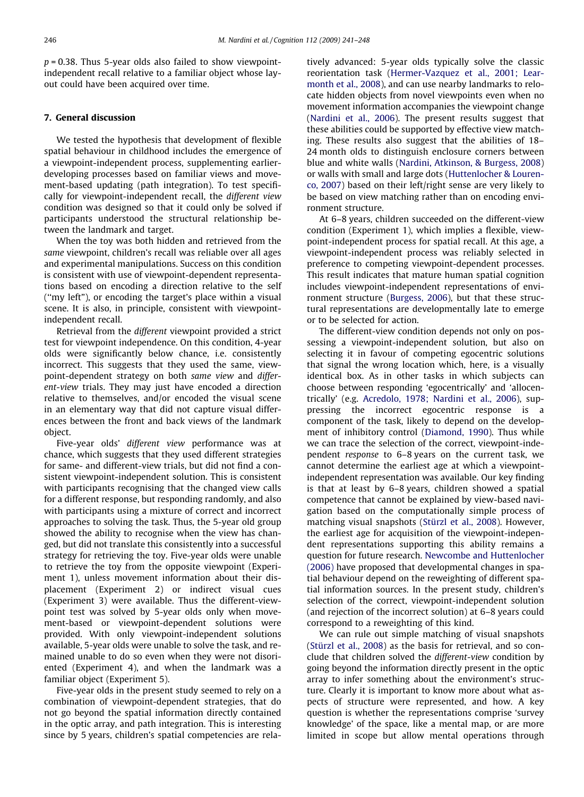$p = 0.38$ . Thus 5-year olds also failed to show viewpointindependent recall relative to a familiar object whose layout could have been acquired over time.

### 7. General discussion

We tested the hypothesis that development of flexible spatial behaviour in childhood includes the emergence of a viewpoint-independent process, supplementing earlierdeveloping processes based on familiar views and movement-based updating (path integration). To test specifically for viewpoint-independent recall, the different view condition was designed so that it could only be solved if participants understood the structural relationship between the landmark and target.

When the toy was both hidden and retrieved from the same viewpoint, children's recall was reliable over all ages and experimental manipulations. Success on this condition is consistent with use of viewpoint-dependent representations based on encoding a direction relative to the self (''my left"), or encoding the target's place within a visual scene. It is also, in principle, consistent with viewpointindependent recall.

Retrieval from the different viewpoint provided a strict test for viewpoint independence. On this condition, 4-year olds were significantly below chance, i.e. consistently incorrect. This suggests that they used the same, viewpoint-dependent strategy on both same view and different-view trials. They may just have encoded a direction relative to themselves, and/or encoded the visual scene in an elementary way that did not capture visual differences between the front and back views of the landmark object.

Five-year olds' different view performance was at chance, which suggests that they used different strategies for same- and different-view trials, but did not find a consistent viewpoint-independent solution. This is consistent with participants recognising that the changed view calls for a different response, but responding randomly, and also with participants using a mixture of correct and incorrect approaches to solving the task. Thus, the 5-year old group showed the ability to recognise when the view has changed, but did not translate this consistently into a successful strategy for retrieving the toy. Five-year olds were unable to retrieve the toy from the opposite viewpoint (Experiment 1), unless movement information about their displacement (Experiment 2) or indirect visual cues (Experiment 3) were available. Thus the different-viewpoint test was solved by 5-year olds only when movement-based or viewpoint-dependent solutions were provided. With only viewpoint-independent solutions available, 5-year olds were unable to solve the task, and remained unable to do so even when they were not disoriented (Experiment 4), and when the landmark was a familiar object (Experiment 5).

Five-year olds in the present study seemed to rely on a combination of viewpoint-dependent strategies, that do not go beyond the spatial information directly contained in the optic array, and path integration. This is interesting since by 5 years, children's spatial competencies are rela-

tively advanced: 5-year olds typically solve the classic reorientation task [\(Hermer-Vazquez et al., 2001; Lear](#page-7-0)[month et al., 2008](#page-7-0)), and can use nearby landmarks to relocate hidden objects from novel viewpoints even when no movement information accompanies the viewpoint change [\(Nardini et al., 2006](#page-7-0)). The present results suggest that these abilities could be supported by effective view matching. These results also suggest that the abilities of 18– 24 month olds to distinguish enclosure corners between blue and white walls [\(Nardini, Atkinson, & Burgess, 2008](#page-7-0)) or walls with small and large dots [\(Huttenlocher & Louren](#page-7-0)[co, 2007](#page-7-0)) based on their left/right sense are very likely to be based on view matching rather than on encoding environment structure.

At 6–8 years, children succeeded on the different-view condition (Experiment 1), which implies a flexible, viewpoint-independent process for spatial recall. At this age, a viewpoint-independent process was reliably selected in preference to competing viewpoint-dependent processes. This result indicates that mature human spatial cognition includes viewpoint-independent representations of environment structure ([Burgess, 2006](#page-7-0)), but that these structural representations are developmentally late to emerge or to be selected for action.

The different-view condition depends not only on possessing a viewpoint-independent solution, but also on selecting it in favour of competing egocentric solutions that signal the wrong location which, here, is a visually identical box. As in other tasks in which subjects can choose between responding 'egocentrically' and 'allocentrically' (e.g. [Acredolo, 1978; Nardini et al., 2006\)](#page-7-0), suppressing the incorrect egocentric response is a component of the task, likely to depend on the development of inhibitory control [\(Diamond, 1990\)](#page-7-0). Thus while we can trace the selection of the correct, viewpoint-independent response to 6–8 years on the current task, we cannot determine the earliest age at which a viewpointindependent representation was available. Our key finding is that at least by 6–8 years, children showed a spatial competence that cannot be explained by view-based navigation based on the computationally simple process of matching visual snapshots ([Stürzl et al., 2008](#page-7-0)). However, the earliest age for acquisition of the viewpoint-independent representations supporting this ability remains a question for future research. [Newcombe and Huttenlocher](#page-7-0) [\(2006\)](#page-7-0) have proposed that developmental changes in spatial behaviour depend on the reweighting of different spatial information sources. In the present study, children's selection of the correct, viewpoint-independent solution (and rejection of the incorrect solution) at 6–8 years could correspond to a reweighting of this kind.

We can rule out simple matching of visual snapshots [\(Stürzl et al., 2008](#page-7-0)) as the basis for retrieval, and so conclude that children solved the different-view condition by going beyond the information directly present in the optic array to infer something about the environment's structure. Clearly it is important to know more about what aspects of structure were represented, and how. A key question is whether the representations comprise 'survey knowledge' of the space, like a mental map, or are more limited in scope but allow mental operations through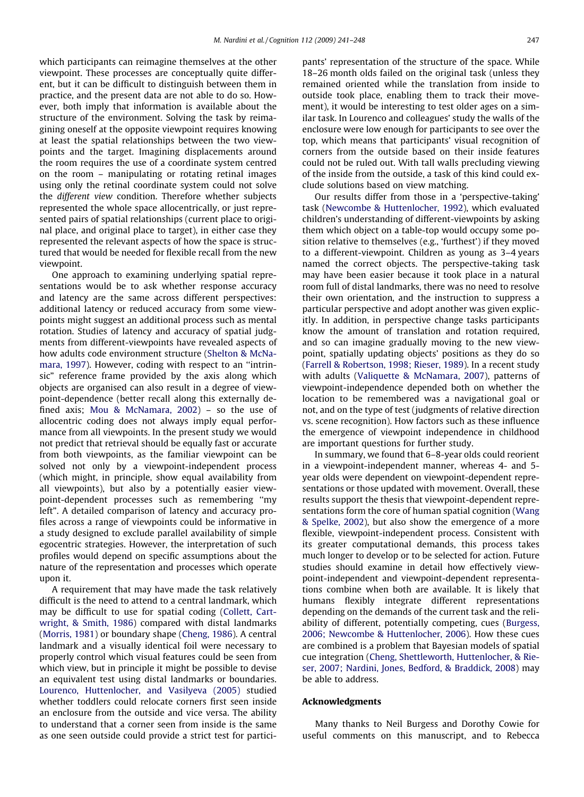which participants can reimagine themselves at the other viewpoint. These processes are conceptually quite different, but it can be difficult to distinguish between them in practice, and the present data are not able to do so. However, both imply that information is available about the structure of the environment. Solving the task by reimagining oneself at the opposite viewpoint requires knowing at least the spatial relationships between the two viewpoints and the target. Imagining displacements around the room requires the use of a coordinate system centred on the room – manipulating or rotating retinal images using only the retinal coordinate system could not solve the different view condition. Therefore whether subjects represented the whole space allocentrically, or just represented pairs of spatial relationships (current place to original place, and original place to target), in either case they represented the relevant aspects of how the space is structured that would be needed for flexible recall from the new viewpoint.

One approach to examining underlying spatial representations would be to ask whether response accuracy and latency are the same across different perspectives: additional latency or reduced accuracy from some viewpoints might suggest an additional process such as mental rotation. Studies of latency and accuracy of spatial judgments from different-viewpoints have revealed aspects of how adults code environment structure [\(Shelton & McNa](#page-7-0)[mara, 1997](#page-7-0)). However, coding with respect to an ''intrinsic" reference frame provided by the axis along which objects are organised can also result in a degree of viewpoint-dependence (better recall along this externally defined axis; [Mou & McNamara, 2002](#page-7-0)) – so the use of allocentric coding does not always imply equal performance from all viewpoints. In the present study we would not predict that retrieval should be equally fast or accurate from both viewpoints, as the familiar viewpoint can be solved not only by a viewpoint-independent process (which might, in principle, show equal availability from all viewpoints), but also by a potentially easier viewpoint-dependent processes such as remembering ''my left". A detailed comparison of latency and accuracy profiles across a range of viewpoints could be informative in a study designed to exclude parallel availability of simple egocentric strategies. However, the interpretation of such profiles would depend on specific assumptions about the nature of the representation and processes which operate upon it.

A requirement that may have made the task relatively difficult is the need to attend to a central landmark, which may be difficult to use for spatial coding [\(Collett, Cart](#page-7-0)[wright, & Smith, 1986](#page-7-0)) compared with distal landmarks ([Morris, 1981](#page-7-0)) or boundary shape ([Cheng, 1986\)](#page-7-0). A central landmark and a visually identical foil were necessary to properly control which visual features could be seen from which view, but in principle it might be possible to devise an equivalent test using distal landmarks or boundaries. [Lourenco, Huttenlocher, and Vasilyeva \(2005\)](#page-7-0) studied whether toddlers could relocate corners first seen inside an enclosure from the outside and vice versa. The ability to understand that a corner seen from inside is the same as one seen outside could provide a strict test for partici-

pants' representation of the structure of the space. While 18–26 month olds failed on the original task (unless they remained oriented while the translation from inside to outside took place, enabling them to track their movement), it would be interesting to test older ages on a similar task. In Lourenco and colleagues' study the walls of the enclosure were low enough for participants to see over the top, which means that participants' visual recognition of corners from the outside based on their inside features could not be ruled out. With tall walls precluding viewing of the inside from the outside, a task of this kind could exclude solutions based on view matching.

Our results differ from those in a 'perspective-taking' task ([Newcombe & Huttenlocher, 1992\)](#page-7-0), which evaluated children's understanding of different-viewpoints by asking them which object on a table-top would occupy some position relative to themselves (e.g., 'furthest') if they moved to a different-viewpoint. Children as young as 3–4 years named the correct objects. The perspective-taking task may have been easier because it took place in a natural room full of distal landmarks, there was no need to resolve their own orientation, and the instruction to suppress a particular perspective and adopt another was given explicitly. In addition, in perspective change tasks participants know the amount of translation and rotation required, and so can imagine gradually moving to the new viewpoint, spatially updating objects' positions as they do so (Farrell [& Robertson, 1998; Rieser, 1989](#page-7-0)). In a recent study with adults [\(Valiquette & McNamara, 2007\)](#page-7-0), patterns of viewpoint-independence depended both on whether the location to be remembered was a navigational goal or not, and on the type of test (judgments of relative direction vs. scene recognition). How factors such as these influence the emergence of viewpoint independence in childhood are important questions for further study.

In summary, we found that 6–8-year olds could reorient in a viewpoint-independent manner, whereas 4- and 5 year olds were dependent on viewpoint-dependent representations or those updated with movement. Overall, these results support the thesis that viewpoint-dependent representations form the core of human spatial cognition ([Wang](#page-7-0) [& Spelke, 2002](#page-7-0)), but also show the emergence of a more flexible, viewpoint-independent process. Consistent with its greater computational demands, this process takes much longer to develop or to be selected for action. Future studies should examine in detail how effectively viewpoint-independent and viewpoint-dependent representations combine when both are available. It is likely that humans flexibly integrate different representations depending on the demands of the current task and the reliability of different, potentially competing, cues [\(Burgess,](#page-7-0) [2006; Newcombe & Huttenlocher, 2006](#page-7-0)). How these cues are combined is a problem that Bayesian models of spatial cue integration ([Cheng, Shettleworth, Huttenlocher, & Rie](#page-7-0)[ser, 2007; Nardini, Jones, Bedford, & Braddick, 2008\)](#page-7-0) may be able to address.

#### Acknowledgments

Many thanks to Neil Burgess and Dorothy Cowie for useful comments on this manuscript, and to Rebecca